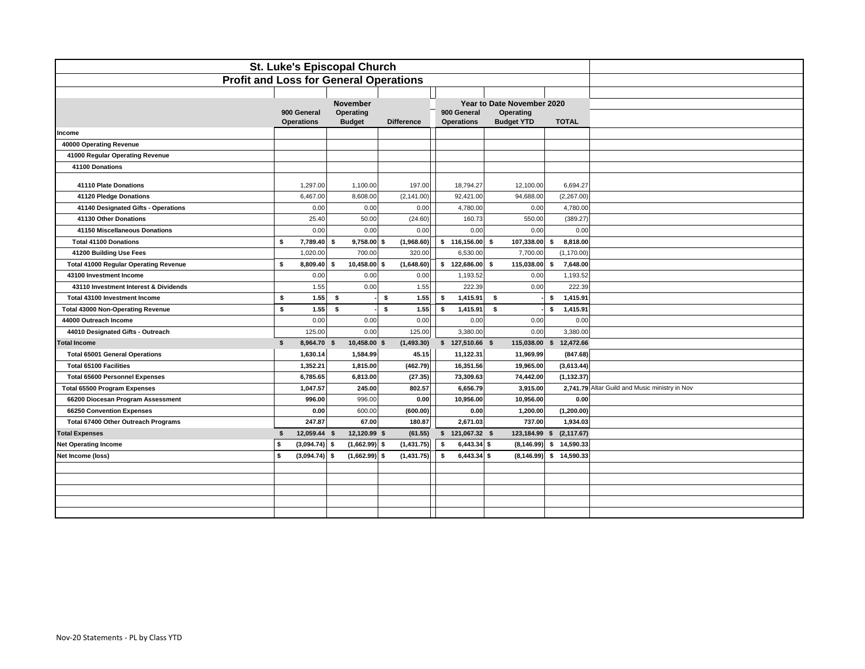| <b>St. Luke's Episcopal Church</b>            |    |                                  |      |                            |    |                   |     |                                  |    |                                |                |        |                                                |
|-----------------------------------------------|----|----------------------------------|------|----------------------------|----|-------------------|-----|----------------------------------|----|--------------------------------|----------------|--------|------------------------------------------------|
| <b>Profit and Loss for General Operations</b> |    |                                  |      |                            |    |                   |     |                                  |    |                                |                |        |                                                |
|                                               |    |                                  |      |                            |    |                   |     |                                  |    |                                |                |        |                                                |
|                                               |    |                                  |      | <b>November</b>            |    |                   |     |                                  |    | Year to Date November 2020     |                |        |                                                |
|                                               |    | 900 General<br><b>Operations</b> |      | Operating<br><b>Budget</b> |    | <b>Difference</b> |     | 900 General<br><b>Operations</b> |    | Operating<br><b>Budget YTD</b> | <b>TOTAL</b>   |        |                                                |
| Income                                        |    |                                  |      |                            |    |                   |     |                                  |    |                                |                |        |                                                |
| 40000 Operating Revenue                       |    |                                  |      |                            |    |                   |     |                                  |    |                                |                |        |                                                |
| 41000 Regular Operating Revenue               |    |                                  |      |                            |    |                   |     |                                  |    |                                |                |        |                                                |
| 41100 Donations                               |    |                                  |      |                            |    |                   |     |                                  |    |                                |                |        |                                                |
| 41110 Plate Donations                         |    | 1,297.00                         |      | 1,100.00                   |    | 197.00            |     | 18,794.27                        |    | 12,100.00                      | 6,694.27       |        |                                                |
| 41120 Pledge Donations                        |    | 6,467.00                         |      | 8,608.00                   |    | (2, 141.00)       |     | 92,421.00                        |    | 94,688.00                      | (2,267.00)     |        |                                                |
| 41140 Designated Gifts - Operations           |    | 0.00                             |      | 0.00                       |    | 0.00              |     | 4,780.00                         |    | 0.00                           | 4,780.00       |        |                                                |
| 41130 Other Donations                         |    | 25.40                            |      | 50.00                      |    | (24.60)           |     | 160.73                           |    | 550.00                         | (389.27)       |        |                                                |
| 41150 Miscellaneous Donations                 |    | 0.00                             |      | 0.00                       |    | 0.00              |     | 0.00                             |    | 0.00                           |                | 0.00   |                                                |
| <b>Total 41100 Donations</b>                  | \$ | 7,789.40                         | £.   | 9,758.00                   | -9 | (1,968.60)        |     | \$116,156.00                     | s. | 107,338.00                     | \$<br>8,818.00 |        |                                                |
| 41200 Building Use Fees                       |    | 1,020.00                         |      | 700.00                     |    | 320.00            |     | 6,530.00                         |    | 7,700.00                       | (1, 170.00)    |        |                                                |
| <b>Total 41000 Regular Operating Revenue</b>  | \$ | 8,809.40                         | \$.  | $10,458.00$ \$             |    | (1,648.60)        |     | \$122,686.00\$                   |    | 115,038.00                     | s<br>7,648.00  |        |                                                |
| 43100 Investment Income                       |    | 0.00                             |      | 0.00                       |    | 0.00              |     | 1,193.52                         |    | 0.00                           | 1,193.52       |        |                                                |
| 43110 Investment Interest & Dividends         |    | 1.55                             |      | 0.00                       |    | 1.55              |     | 222.39                           |    | 0.00                           |                | 222.39 |                                                |
| Total 43100 Investment Income                 | \$ | 1.55                             | \$   |                            | \$ | 1.55              | -\$ | 1,415.91                         | \$ |                                | 1,415.91<br>\$ |        |                                                |
| <b>Total 43000 Non-Operating Revenue</b>      | s  | 1.55                             | \$   |                            | \$ | 1.55              | \$  | 1,415.91                         | s. |                                | \$<br>1,415.91 |        |                                                |
| 44000 Outreach Income                         |    | 0.00                             |      | 0.00                       |    | 0.00              |     | 0.00                             |    | 0.00                           |                | 0.00   |                                                |
| 44010 Designated Gifts - Outreach             |    | 125.00                           |      | 0.00                       |    | 125.00            |     | 3,380.00                         |    | 0.00                           | 3,380.00       |        |                                                |
| <b>Total Income</b>                           | \$ | 8,964.70 \$                      |      | 10,458.00 \$               |    | (1,493.30)        |     | $$127,510.66$ \$                 |    | 115,038.00 \$                  | 12,472.66      |        |                                                |
| <b>Total 65001 General Operations</b>         |    | 1,630.14                         |      | 1,584.99                   |    | 45.15             |     | 11,122.31                        |    | 11,969.99                      | (847.68)       |        |                                                |
| <b>Total 65100 Facilities</b>                 |    | 1,352.21                         |      | 1,815.00                   |    | (462.79)          |     | 16,351.56                        |    | 19,965.00                      | (3,613.44)     |        |                                                |
| <b>Total 65600 Personnel Expenses</b>         |    | 6,785.65                         |      | 6,813.00                   |    | (27.35)           |     | 73,309.63                        |    | 74,442.00                      | (1, 132.37)    |        |                                                |
| <b>Total 65500 Program Expenses</b>           |    | 1,047.57                         |      | 245.00                     |    | 802.57            |     | 6,656.79                         |    | 3,915.00                       |                |        | 2,741.79 Altar Guild and Music ministry in Nov |
| 66200 Diocesan Program Assessment             |    | 996.00                           |      | 996.00                     |    | 0.00              |     | 10,956.00                        |    | 10,956.00                      |                | 0.00   |                                                |
| 66250 Convention Expenses                     |    | 0.00                             |      | 600.00                     |    | (600.00)          |     | 0.00                             |    | 1,200.00                       | (1,200.00)     |        |                                                |
| Total 67400 Other Outreach Programs           |    | 247.87                           |      | 67.00                      |    | 180.87            |     | 2,671.03                         |    | 737.00                         | 1,934.03       |        |                                                |
| <b>Total Expenses</b>                         | \$ | 12,059.44 \$                     |      | 12,120.99 \$               |    | (61.55)           |     | $$121,067.32$ \$                 |    | 123,184.99 \$                  | (2, 117.67)    |        |                                                |
| <b>Net Operating Income</b>                   | s. | (3,094.74)                       | - \$ | $(1,662.99)$ \$            |    | (1,431.75)        | -S  | $6,443.34$ \$                    |    | $(8, 146.99)$ \$ 14,590.33     |                |        |                                                |
| Net Income (loss)                             | s  | (3,094.74)                       | -\$  | $(1,662.99)$ \$            |    | (1,431.75)        | -\$ | $6,443.34$ \$                    |    | $(8, 146.99)$ \$ 14,590.33     |                |        |                                                |
|                                               |    |                                  |      |                            |    |                   |     |                                  |    |                                |                |        |                                                |
|                                               |    |                                  |      |                            |    |                   |     |                                  |    |                                |                |        |                                                |
|                                               |    |                                  |      |                            |    |                   |     |                                  |    |                                |                |        |                                                |
|                                               |    |                                  |      |                            |    |                   |     |                                  |    |                                |                |        |                                                |
|                                               |    |                                  |      |                            |    |                   |     |                                  |    |                                |                |        |                                                |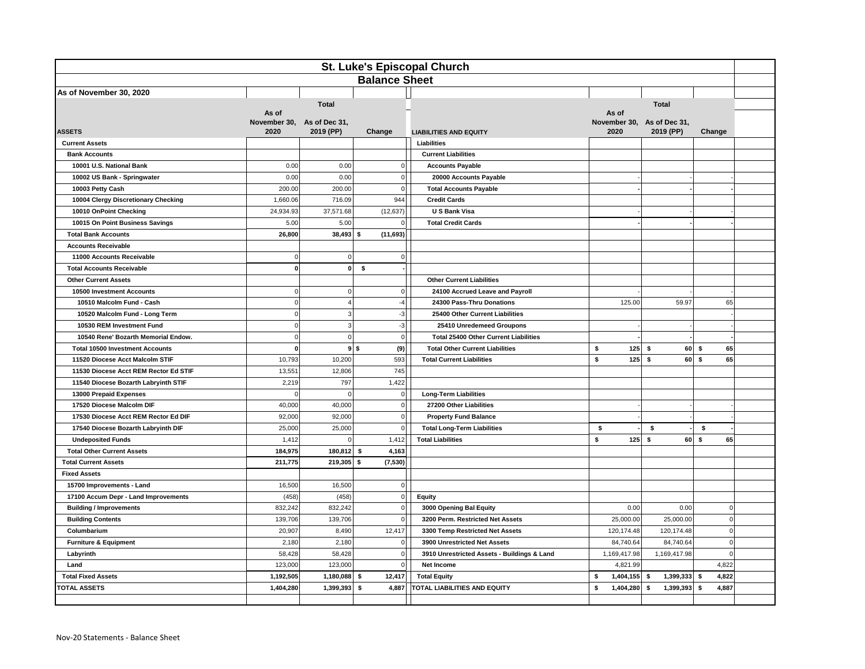| <b>St. Luke's Episcopal Church</b>     |              |                                         |     |                      |                                              |                      |                            |             |                |
|----------------------------------------|--------------|-----------------------------------------|-----|----------------------|----------------------------------------------|----------------------|----------------------------|-------------|----------------|
|                                        |              |                                         |     | <b>Balance Sheet</b> |                                              |                      |                            |             |                |
| As of November 30, 2020                |              |                                         |     |                      |                                              |                      |                            |             |                |
|                                        |              | <b>Total</b>                            |     |                      |                                              |                      | <b>Total</b>               |             |                |
| As of                                  |              |                                         |     |                      |                                              | As of                |                            |             |                |
| <b>ASSETS</b><br>2020                  |              | November 30, As of Dec 31,<br>2019 (PP) |     | Change               |                                              | November 30,<br>2020 | As of Dec 31,<br>2019 (PP) | Change      |                |
| <b>Current Assets</b>                  |              |                                         |     |                      | <b>LIABILITIES AND EQUITY</b><br>Liabilities |                      |                            |             |                |
| <b>Bank Accounts</b>                   |              |                                         |     |                      | <b>Current Liabilities</b>                   |                      |                            |             |                |
| 10001 U.S. National Bank               | 0.00         | 0.00                                    |     | $\overline{0}$       | <b>Accounts Payable</b>                      |                      |                            |             |                |
| 10002 US Bank - Springwater            | 0.00         | 0.00                                    |     | $\circ$              | 20000 Accounts Payable                       |                      |                            |             |                |
| 10003 Petty Cash                       | 200.00       | 200.00                                  |     | $\mathbf{0}$         | <b>Total Accounts Payable</b>                |                      |                            |             |                |
| 10004 Clergy Discretionary Checking    | 1,660.06     | 716.09                                  |     | 944                  | <b>Credit Cards</b>                          |                      |                            |             |                |
| 10010 OnPoint Checking                 | 24,934.93    | 37,571.68                               |     | (12, 637)            | <b>U S Bank Visa</b>                         |                      |                            |             |                |
| 10015 On Point Business Savings        | 5.00         | 5.00                                    |     | 0                    | <b>Total Credit Cards</b>                    |                      |                            |             |                |
| <b>Total Bank Accounts</b>             | 26,800       | $38,493$ \$                             |     | (11,693)             |                                              |                      |                            |             |                |
| <b>Accounts Receivable</b>             |              |                                         |     |                      |                                              |                      |                            |             |                |
| 11000 Accounts Receivable              | $\mathbf 0$  | $\Omega$                                |     | $\overline{0}$       |                                              |                      |                            |             |                |
| <b>Total Accounts Receivable</b>       | $\mathbf{0}$ | $\mathbf 0$                             | \$  |                      |                                              |                      |                            |             |                |
| <b>Other Current Assets</b>            |              |                                         |     |                      | <b>Other Current Liabilities</b>             |                      |                            |             |                |
| 10500 Investment Accounts              | $\Omega$     | $\Omega$                                |     | $\mathbf{0}$         | 24100 Accrued Leave and Payroll              |                      |                            |             |                |
| 10510 Malcolm Fund - Cash              | $\mathbf 0$  |                                         |     | $-4$                 | 24300 Pass-Thru Donations                    | 125.00               | 59.97                      | 65          |                |
| 10520 Malcolm Fund - Long Term         | $\mathbf 0$  | 3                                       |     | $-3$                 | 25400 Other Current Liabilities              |                      |                            |             |                |
| 10530 REM Investment Fund              | $\mathbf 0$  | 3                                       |     | $-3$                 | 25410 Unredemeed Groupons                    |                      |                            |             |                |
| 10540 Rene' Bozarth Memorial Endow.    | $\pmb{0}$    | $\pmb{0}$                               |     | $\circ$              | Total 25400 Other Current Liabilities        |                      |                            |             |                |
| <b>Total 10500 Investment Accounts</b> | $\mathbf 0$  | 9S                                      |     | (9)                  | <b>Total Other Current Liabilities</b>       | \$<br>125            | -S                         | 60 S<br>65  |                |
| 11520 Diocese Acct Malcolm STIF        | 10,793       | 10,200                                  |     | 593                  | <b>Total Current Liabilities</b>             | \$<br>125            | \$<br>60                   | \$<br>65    |                |
| 11530 Diocese Acct REM Rector Ed STIF  | 13,551       | 12,806                                  |     | 745                  |                                              |                      |                            |             |                |
| 11540 Diocese Bozarth Labryinth STIF   | 2,219        | 797                                     |     | 1,422                |                                              |                      |                            |             |                |
| 13000 Prepaid Expenses                 | $\mathbf 0$  |                                         |     | $\circ$              | <b>Long-Term Liabilities</b>                 |                      |                            |             |                |
| 17520 Diocese Malcolm DIF              | 40,000       | 40,000                                  |     | $\circ$              | 27200 Other Liabilities                      |                      |                            |             |                |
| 17530 Diocese Acct REM Rector Ed DIF   | 92,000       | 92,000                                  |     | $\circ$              | <b>Property Fund Balance</b>                 |                      |                            |             |                |
| 17540 Diocese Bozarth Labryinth DIF    | 25,000       | 25,000                                  |     | $\circ$              | <b>Total Long-Term Liabilities</b>           | \$                   | \$                         | \$          |                |
| <b>Undeposited Funds</b>               | 1,412        | $\mathbf 0$                             |     | 1,412                | <b>Total Liabilities</b>                     | \$<br>125            | \$<br>60                   | 65<br>\$    |                |
| <b>Total Other Current Assets</b>      | 184,975      | 180,812                                 | -\$ | 4,163                |                                              |                      |                            |             |                |
| <b>Total Current Assets</b>            | 211,775      | 219,305                                 | \$  | (7, 530)             |                                              |                      |                            |             |                |
| <b>Fixed Assets</b>                    |              |                                         |     |                      |                                              |                      |                            |             |                |
| 15700 Improvements - Land              | 16,500       | 16,500                                  |     | $\overline{0}$       |                                              |                      |                            |             |                |
| 17100 Accum Depr - Land Improvements   | (458)        | (458)                                   |     | $\circ$              | <b>Equity</b>                                |                      |                            |             |                |
| <b>Building / Improvements</b>         | 832,242      | 832,242                                 |     | $\circ$              | 3000 Opening Bal Equity                      | 0.00                 | 0.00                       | $\mathbf 0$ |                |
| <b>Building Contents</b>               | 139,706      | 139,706                                 |     | $\mathbf{0}$         | 3200 Perm. Restricted Net Assets             | 25,000.00            | 25,000.00                  | $\mathbf 0$ |                |
| Columbarium                            | 20,907       | 8,490                                   |     | 12,417               | 3300 Temp Restricted Net Assets              | 120,174.48           | 120,174.48                 | $\Omega$    |                |
| <b>Furniture &amp; Equipment</b>       | 2,180        | 2,180                                   |     | $\overline{0}$       | 3900 Unrestricted Net Assets                 | 84,740.64            | 84,740.64                  |             | $\overline{0}$ |
| Labyrinth                              | 58,428       | 58,428                                  |     | $\overline{0}$       | 3910 Unrestricted Assets - Buildings & Land  | 1,169,417.98         | 1,169,417.98               |             | $\overline{0}$ |
| Land                                   | 123,000      | 123,000                                 |     | $\overline{0}$       | Net Income                                   | 4,821.99             |                            | 4,822       |                |
| <b>Total Fixed Assets</b>              | 1,192,505    | 1,180,088                               | S.  | 12,417               | <b>Total Equity</b>                          | 1,404,155<br>\$      | 1,399,333<br>\$            | 4,822<br>\$ |                |
| <b>TOTAL ASSETS</b>                    | 1,404,280    | 1,399,393                               | -\$ | 4,887                | TOTAL LIABILITIES AND EQUITY                 | \$<br>1,404,280      | 1,399,393<br>\$            | 4,887<br>\$ |                |
|                                        |              |                                         |     |                      |                                              |                      |                            |             |                |